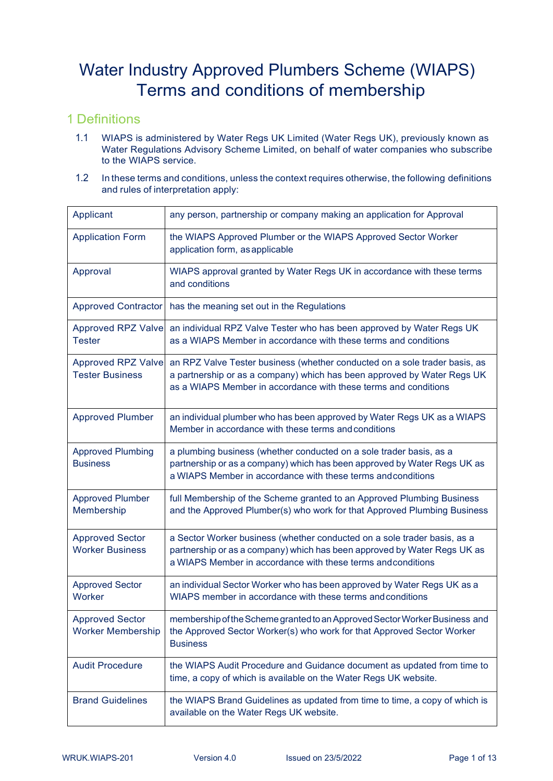# Water Industry Approved Plumbers Scheme (WIAPS) Terms and conditions of membership

#### 1 Definitions

- 1.1 WIAPS is administered by Water Regs UK Limited (Water Regs UK), previously known as Water Regulations Advisory Scheme Limited, on behalf of water companies who subscribe to the WIAPS service.
- 1.2 In these terms and conditions, unless the context requires otherwise, the following definitions and rules of interpretation apply:

| Applicant                                           | any person, partnership or company making an application for Approval                                                                                                                                                    |
|-----------------------------------------------------|--------------------------------------------------------------------------------------------------------------------------------------------------------------------------------------------------------------------------|
| <b>Application Form</b>                             | the WIAPS Approved Plumber or the WIAPS Approved Sector Worker<br>application form, as applicable                                                                                                                        |
| Approval                                            | WIAPS approval granted by Water Regs UK in accordance with these terms<br>and conditions                                                                                                                                 |
| <b>Approved Contractor</b>                          | has the meaning set out in the Regulations                                                                                                                                                                               |
| <b>Approved RPZ Valve</b><br><b>Tester</b>          | an individual RPZ Valve Tester who has been approved by Water Regs UK<br>as a WIAPS Member in accordance with these terms and conditions                                                                                 |
| <b>Approved RPZ Valve</b><br><b>Tester Business</b> | an RPZ Valve Tester business (whether conducted on a sole trader basis, as<br>a partnership or as a company) which has been approved by Water Regs UK<br>as a WIAPS Member in accordance with these terms and conditions |
| <b>Approved Plumber</b>                             | an individual plumber who has been approved by Water Regs UK as a WIAPS<br>Member in accordance with these terms and conditions                                                                                          |
| <b>Approved Plumbing</b><br><b>Business</b>         | a plumbing business (whether conducted on a sole trader basis, as a<br>partnership or as a company) which has been approved by Water Regs UK as<br>a WIAPS Member in accordance with these terms and conditions          |
| <b>Approved Plumber</b><br>Membership               | full Membership of the Scheme granted to an Approved Plumbing Business<br>and the Approved Plumber(s) who work for that Approved Plumbing Business                                                                       |
| <b>Approved Sector</b><br><b>Worker Business</b>    | a Sector Worker business (whether conducted on a sole trader basis, as a<br>partnership or as a company) which has been approved by Water Regs UK as<br>a WIAPS Member in accordance with these terms and conditions     |
| <b>Approved Sector</b><br>Worker                    | an individual Sector Worker who has been approved by Water Regs UK as a<br>WIAPS member in accordance with these terms and conditions                                                                                    |
| <b>Approved Sector</b><br><b>Worker Membership</b>  | membership of the Scheme granted to an Approved Sector Worker Business and<br>the Approved Sector Worker(s) who work for that Approved Sector Worker<br><b>Business</b>                                                  |
| <b>Audit Procedure</b>                              | the WIAPS Audit Procedure and Guidance document as updated from time to<br>time, a copy of which is available on the Water Regs UK website.                                                                              |
| <b>Brand Guidelines</b>                             | the WIAPS Brand Guidelines as updated from time to time, a copy of which is<br>available on the Water Regs UK website.                                                                                                   |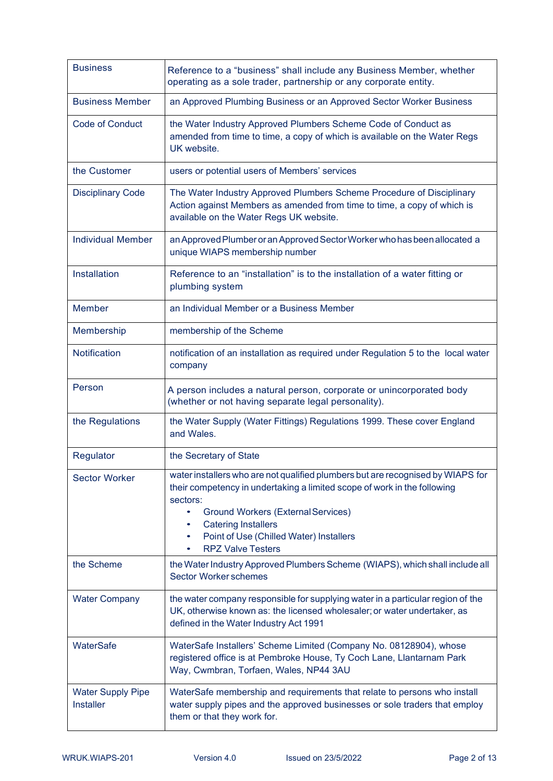| <b>Business</b>                              | Reference to a "business" shall include any Business Member, whether<br>operating as a sole trader, partnership or any corporate entity.                                                                                                                                                                                            |
|----------------------------------------------|-------------------------------------------------------------------------------------------------------------------------------------------------------------------------------------------------------------------------------------------------------------------------------------------------------------------------------------|
| <b>Business Member</b>                       | an Approved Plumbing Business or an Approved Sector Worker Business                                                                                                                                                                                                                                                                 |
| <b>Code of Conduct</b>                       | the Water Industry Approved Plumbers Scheme Code of Conduct as<br>amended from time to time, a copy of which is available on the Water Regs<br>UK website.                                                                                                                                                                          |
| the Customer                                 | users or potential users of Members' services                                                                                                                                                                                                                                                                                       |
| <b>Disciplinary Code</b>                     | The Water Industry Approved Plumbers Scheme Procedure of Disciplinary<br>Action against Members as amended from time to time, a copy of which is<br>available on the Water Regs UK website.                                                                                                                                         |
| <b>Individual Member</b>                     | an Approved Plumber or an Approved Sector Worker who has been allocated a<br>unique WIAPS membership number                                                                                                                                                                                                                         |
| Installation                                 | Reference to an "installation" is to the installation of a water fitting or<br>plumbing system                                                                                                                                                                                                                                      |
| <b>Member</b>                                | an Individual Member or a Business Member                                                                                                                                                                                                                                                                                           |
| Membership                                   | membership of the Scheme                                                                                                                                                                                                                                                                                                            |
| Notification                                 | notification of an installation as required under Regulation 5 to the local water<br>company                                                                                                                                                                                                                                        |
| Person                                       | A person includes a natural person, corporate or unincorporated body<br>(whether or not having separate legal personality).                                                                                                                                                                                                         |
| the Regulations                              | the Water Supply (Water Fittings) Regulations 1999. These cover England<br>and Wales.                                                                                                                                                                                                                                               |
| Regulator                                    | the Secretary of State                                                                                                                                                                                                                                                                                                              |
| <b>Sector Worker</b>                         | water installers who are not qualified plumbers but are recognised by WIAPS for<br>their competency in undertaking a limited scope of work in the following<br>sectors:<br><b>Ground Workers (External Services)</b><br>٠<br><b>Catering Installers</b><br>٠<br>Point of Use (Chilled Water) Installers<br><b>RPZ Valve Testers</b> |
| the Scheme                                   | the Water Industry Approved Plumbers Scheme (WIAPS), which shall include all<br><b>Sector Worker schemes</b>                                                                                                                                                                                                                        |
| <b>Water Company</b>                         | the water company responsible for supplying water in a particular region of the<br>UK, otherwise known as: the licensed wholesaler; or water undertaker, as<br>defined in the Water Industry Act 1991                                                                                                                               |
| WaterSafe                                    | WaterSafe Installers' Scheme Limited (Company No. 08128904), whose<br>registered office is at Pembroke House, Ty Coch Lane, Llantarnam Park<br>Way, Cwmbran, Torfaen, Wales, NP44 3AU                                                                                                                                               |
| <b>Water Supply Pipe</b><br><b>Installer</b> | WaterSafe membership and requirements that relate to persons who install<br>water supply pipes and the approved businesses or sole traders that employ<br>them or that they work for.                                                                                                                                               |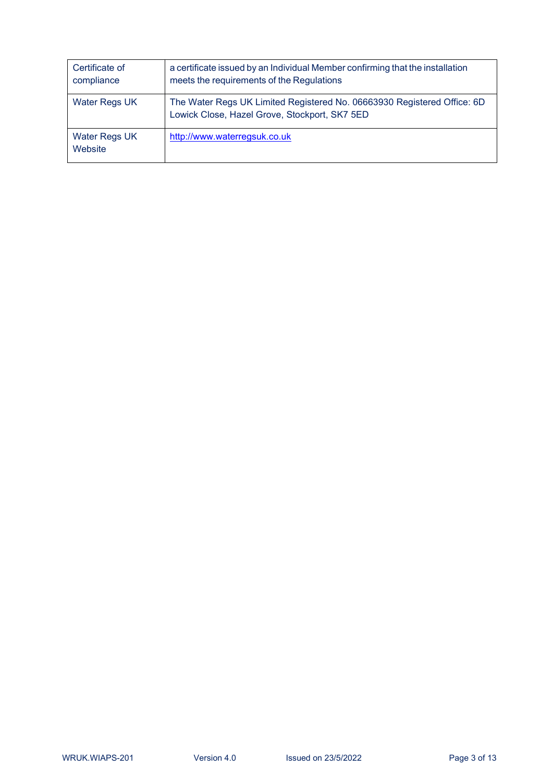| Certificate of<br>compliance    | a certificate issued by an Individual Member confirming that the installation<br>meets the requirements of the Regulations |
|---------------------------------|----------------------------------------------------------------------------------------------------------------------------|
| <b>Water Regs UK</b>            | The Water Regs UK Limited Registered No. 06663930 Registered Office: 6D<br>Lowick Close, Hazel Grove, Stockport, SK7 5ED   |
| <b>Water Regs UK</b><br>Website | http://www.waterregsuk.co.uk                                                                                               |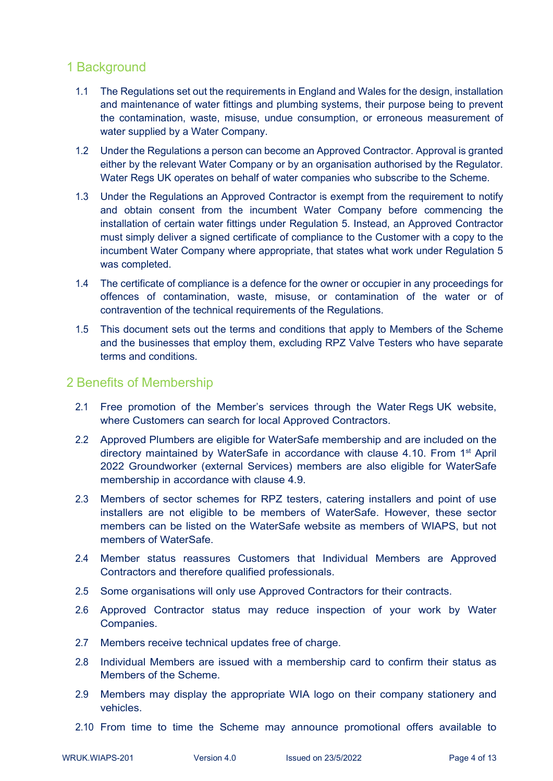#### 1 Background

- 1.1 The Regulations set out the requirements in England and Wales for the design, installation and maintenance of water fittings and plumbing systems, their purpose being to prevent the contamination, waste, misuse, undue consumption, or erroneous measurement of water supplied by a Water Company.
- 1.2 Under the Regulations a person can become an Approved Contractor. Approval is granted either by the relevant Water Company or by an organisation authorised by the Regulator. Water Regs UK operates on behalf of water companies who subscribe to the Scheme.
- 1.3 Under the Regulations an Approved Contractor is exempt from the requirement to notify and obtain consent from the incumbent Water Company before commencing the installation of certain water fittings under Regulation 5. Instead, an Approved Contractor must simply deliver a signed certificate of compliance to the Customer with a copy to the incumbent Water Company where appropriate, that states what work under Regulation 5 was completed.
- 1.4 The certificate of compliance is a defence for the owner or occupier in any proceedings for offences of contamination, waste, misuse, or contamination of the water or of contravention of the technical requirements of the Regulations.
- 1.5 This document sets out the terms and conditions that apply to Members of the Scheme and the businesses that employ them, excluding RPZ Valve Testers who have separate terms and conditions.

#### 2 Benefits of Membership

- 2.1 Free promotion of the Member's services through the Water Regs UK website, where Customers can search for local Approved Contractors.
- 2.2 Approved Plumbers are eligible for WaterSafe membership and are included on the directory maintained by WaterSafe in accordance with clause 4.10. From 1<sup>st</sup> April 2022 Groundworker (external Services) members are also eligible for WaterSafe membership in accordance with clause 4.9.
- 2.3 Members of sector schemes for RPZ testers, catering installers and point of use installers are not eligible to be members of WaterSafe. However, these sector members can be listed on the WaterSafe website as members of WIAPS, but not members of WaterSafe.
- 2.4 Member status reassures Customers that Individual Members are Approved Contractors and therefore qualified professionals.
- 2.5 Some organisations will only use Approved Contractors for their contracts.
- 2.6 Approved Contractor status may reduce inspection of your work by Water Companies.
- 2.7 Members receive technical updates free of charge.
- 2.8 Individual Members are issued with a membership card to confirm their status as Members of the Scheme.
- 2.9 Members may display the appropriate WIA logo on their company stationery and vehicles.
- 2.10 From time to time the Scheme may announce promotional offers available to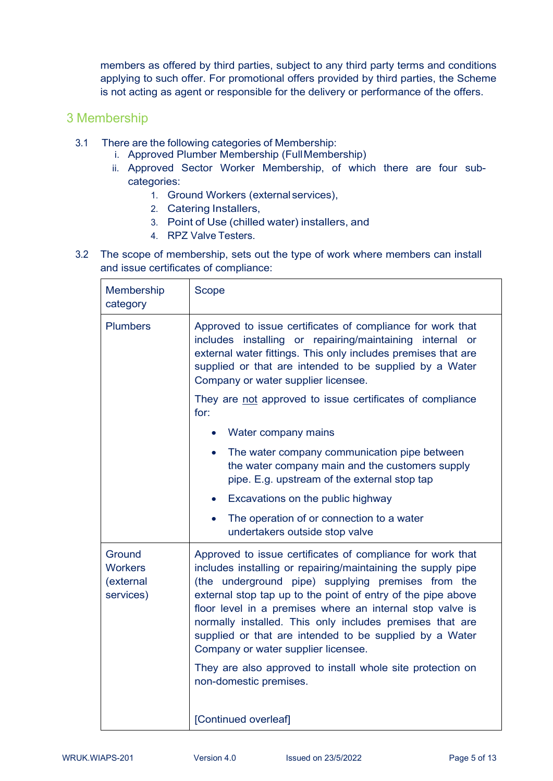members as offered by third parties, subject to any third party terms and conditions applying to such offer. For promotional offers provided by third parties, the Scheme is not acting as agent or responsible for the delivery or performance of the offers.

#### 3 Membership

- 3.1 There are the following categories of Membership:
	- i. Approved Plumber Membership (FullMembership)
	- ii. Approved Sector Worker Membership, of which there are four subcategories:
		- 1. Ground Workers (external services),
		- 2. Catering Installers,
		- 3. Point of Use (chilled water) installers, and
		- 4. RPZ Valve Testers.
- 3.2 The scope of membership, sets out the type of work where members can install and issue certificates of compliance:

| Membership<br>category                             | Scope                                                                                                                                                                                                                                                                                                                                                                                                                                                                                                                                                               |
|----------------------------------------------------|---------------------------------------------------------------------------------------------------------------------------------------------------------------------------------------------------------------------------------------------------------------------------------------------------------------------------------------------------------------------------------------------------------------------------------------------------------------------------------------------------------------------------------------------------------------------|
| <b>Plumbers</b>                                    | Approved to issue certificates of compliance for work that<br>includes installing or repairing/maintaining internal or<br>external water fittings. This only includes premises that are<br>supplied or that are intended to be supplied by a Water<br>Company or water supplier licensee.                                                                                                                                                                                                                                                                           |
|                                                    | They are not approved to issue certificates of compliance<br>for:                                                                                                                                                                                                                                                                                                                                                                                                                                                                                                   |
|                                                    | Water company mains                                                                                                                                                                                                                                                                                                                                                                                                                                                                                                                                                 |
|                                                    | The water company communication pipe between<br>the water company main and the customers supply<br>pipe. E.g. upstream of the external stop tap                                                                                                                                                                                                                                                                                                                                                                                                                     |
|                                                    | Excavations on the public highway                                                                                                                                                                                                                                                                                                                                                                                                                                                                                                                                   |
|                                                    | The operation of or connection to a water<br>undertakers outside stop valve                                                                                                                                                                                                                                                                                                                                                                                                                                                                                         |
| Ground<br><b>Workers</b><br>(external<br>services) | Approved to issue certificates of compliance for work that<br>includes installing or repairing/maintaining the supply pipe<br>(the underground pipe) supplying premises from the<br>external stop tap up to the point of entry of the pipe above<br>floor level in a premises where an internal stop valve is<br>normally installed. This only includes premises that are<br>supplied or that are intended to be supplied by a Water<br>Company or water supplier licensee.<br>They are also approved to install whole site protection on<br>non-domestic premises. |
|                                                    | [Continued overleaf]                                                                                                                                                                                                                                                                                                                                                                                                                                                                                                                                                |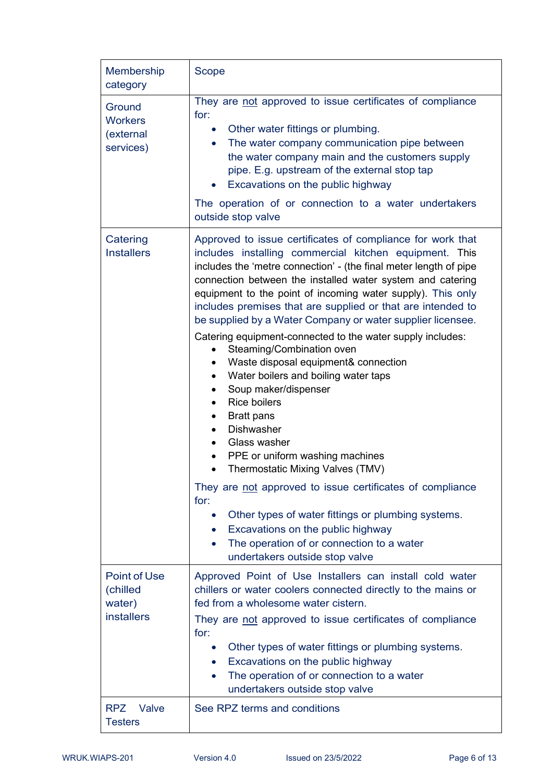| Membership<br>category                                  | <b>Scope</b>                                                                                                                                                                                                                                                                                                                                                                                                                                                                                                                                                                                                                                                                                                                                                                                                                                                                                                                                                                                                                                                                                                                                                                       |
|---------------------------------------------------------|------------------------------------------------------------------------------------------------------------------------------------------------------------------------------------------------------------------------------------------------------------------------------------------------------------------------------------------------------------------------------------------------------------------------------------------------------------------------------------------------------------------------------------------------------------------------------------------------------------------------------------------------------------------------------------------------------------------------------------------------------------------------------------------------------------------------------------------------------------------------------------------------------------------------------------------------------------------------------------------------------------------------------------------------------------------------------------------------------------------------------------------------------------------------------------|
| Ground<br><b>Workers</b><br>(external<br>services)      | They are not approved to issue certificates of compliance<br>for:<br>Other water fittings or plumbing.<br>$\bullet$<br>The water company communication pipe between<br>$\bullet$<br>the water company main and the customers supply<br>pipe. E.g. upstream of the external stop tap<br>Excavations on the public highway<br>$\bullet$<br>The operation of or connection to a water undertakers                                                                                                                                                                                                                                                                                                                                                                                                                                                                                                                                                                                                                                                                                                                                                                                     |
|                                                         | outside stop valve                                                                                                                                                                                                                                                                                                                                                                                                                                                                                                                                                                                                                                                                                                                                                                                                                                                                                                                                                                                                                                                                                                                                                                 |
| Catering<br><b>Installers</b>                           | Approved to issue certificates of compliance for work that<br>includes installing commercial kitchen equipment. This<br>includes the 'metre connection' - (the final meter length of pipe<br>connection between the installed water system and catering<br>equipment to the point of incoming water supply). This only<br>includes premises that are supplied or that are intended to<br>be supplied by a Water Company or water supplier licensee.<br>Catering equipment-connected to the water supply includes:<br>Steaming/Combination oven<br>Waste disposal equipment& connection<br>$\bullet$<br>Water boilers and boiling water taps<br>$\bullet$<br>Soup maker/dispenser<br>$\bullet$<br><b>Rice boilers</b><br>$\bullet$<br><b>Bratt pans</b><br>$\bullet$<br><b>Dishwasher</b><br>$\bullet$<br>Glass washer<br>$\bullet$<br>PPE or uniform washing machines<br>Thermostatic Mixing Valves (TMV)<br>$\bullet$<br>They are not approved to issue certificates of compliance<br>for:<br>Other types of water fittings or plumbing systems.<br>Excavations on the public highway<br>$\bullet$<br>The operation of or connection to a water<br>undertakers outside stop valve |
| Point of Use<br>(chilled<br>water)<br><b>installers</b> | Approved Point of Use Installers can install cold water<br>chillers or water coolers connected directly to the mains or<br>fed from a wholesome water cistern.<br>They are not approved to issue certificates of compliance<br>for:<br>Other types of water fittings or plumbing systems.<br>$\bullet$<br>Excavations on the public highway<br>$\bullet$<br>The operation of or connection to a water<br>$\bullet$<br>undertakers outside stop valve                                                                                                                                                                                                                                                                                                                                                                                                                                                                                                                                                                                                                                                                                                                               |
| RPZ Valve<br><b>Testers</b>                             | See RPZ terms and conditions                                                                                                                                                                                                                                                                                                                                                                                                                                                                                                                                                                                                                                                                                                                                                                                                                                                                                                                                                                                                                                                                                                                                                       |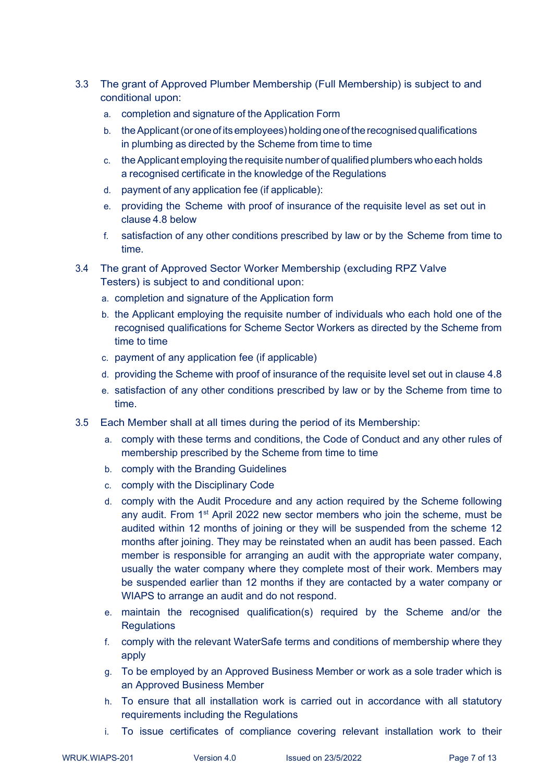- 3.3 The grant of Approved Plumber Membership (Full Membership) is subject to and conditional upon:
	- a. completion and signature of the Application Form
	- b. the Applicant (or one of its employees) holding one of the recognised qualifications in plumbing as directed by the Scheme from time to time
	- c. theApplicant employing the requisite number of qualified plumbers who each holds a recognised certificate in the knowledge of the Regulations
	- d. payment of any application fee (if applicable):
	- e. providing the Scheme with proof of insurance of the requisite level as set out in clause 4.8 below
	- f. satisfaction of any other conditions prescribed by law or by the Scheme from time to time.
- 3.4 The grant of Approved Sector Worker Membership (excluding RPZ Valve Testers) is subject to and conditional upon:
	- a. completion and signature of the Application form
	- b. the Applicant employing the requisite number of individuals who each hold one of the recognised qualifications for Scheme Sector Workers as directed by the Scheme from time to time
	- c. payment of any application fee (if applicable)
	- d. providing the Scheme with proof of insurance of the requisite level set out in clause 4.8
	- e. satisfaction of any other conditions prescribed by law or by the Scheme from time to time.
- 3.5 Each Member shall at all times during the period of its Membership:
	- a. comply with these terms and conditions, the Code of Conduct and any other rules of membership prescribed by the Scheme from time to time
	- b. comply with the Branding Guidelines
	- c. comply with the Disciplinary Code
	- d. comply with the Audit Procedure and any action required by the Scheme following any audit. From 1<sup>st</sup> April 2022 new sector members who join the scheme, must be audited within 12 months of joining or they will be suspended from the scheme 12 months after joining. They may be reinstated when an audit has been passed. Each member is responsible for arranging an audit with the appropriate water company, usually the water company where they complete most of their work. Members may be suspended earlier than 12 months if they are contacted by a water company or WIAPS to arrange an audit and do not respond.
	- e. maintain the recognised qualification(s) required by the Scheme and/or the **Regulations**
	- f. comply with the relevant WaterSafe terms and conditions of membership where they apply
	- g. To be employed by an Approved Business Member or work as a sole trader which is an Approved Business Member
	- h. To ensure that all installation work is carried out in accordance with all statutory requirements including the Regulations
	- i. To issue certificates of compliance covering relevant installation work to their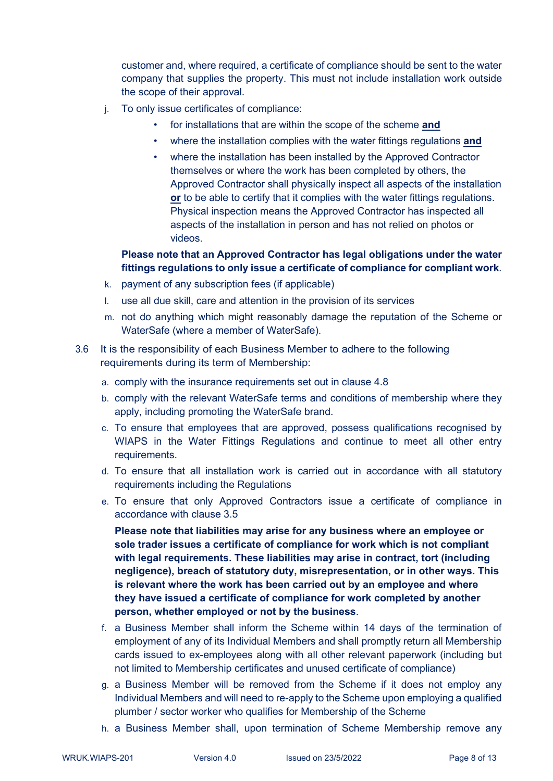customer and, where required, a certificate of compliance should be sent to the water company that supplies the property. This must not include installation work outside the scope of their approval.

- j. To only issue certificates of compliance:
	- for installations that are within the scope of the scheme **and**
	- where the installation complies with the water fittings regulations **and**
	- where the installation has been installed by the Approved Contractor themselves or where the work has been completed by others, the Approved Contractor shall physically inspect all aspects of the installation **or** to be able to certify that it complies with the water fittings regulations. Physical inspection means the Approved Contractor has inspected all aspects of the installation in person and has not relied on photos or videos.

#### **Please note that an Approved Contractor has legal obligations under the water fittings regulations to only issue a certificate of compliance for compliant work**.

- k. payment of any subscription fees (if applicable)
- l. use all due skill, care and attention in the provision of its services
- m. not do anything which might reasonably damage the reputation of the Scheme or WaterSafe (where a member of WaterSafe).
- 3.6 It is the responsibility of each Business Member to adhere to the following requirements during its term of Membership:
	- a. comply with the insurance requirements set out in clause 4.8
	- b. comply with the relevant WaterSafe terms and conditions of membership where they apply, including promoting the WaterSafe brand.
	- c. To ensure that employees that are approved, possess qualifications recognised by WIAPS in the Water Fittings Regulations and continue to meet all other entry requirements.
	- d. To ensure that all installation work is carried out in accordance with all statutory requirements including the Regulations
	- e. To ensure that only Approved Contractors issue a certificate of compliance in accordance with clause 3.5

**Please note that liabilities may arise for any business where an employee or sole trader issues a certificate of compliance for work which is not compliant with legal requirements. These liabilities may arise in contract, tort (including negligence), breach of statutory duty, misrepresentation, or in other ways. This is relevant where the work has been carried out by an employee and where they have issued a certificate of compliance for work completed by another person, whether employed or not by the business**.

- f. a Business Member shall inform the Scheme within 14 days of the termination of employment of any of its Individual Members and shall promptly return all Membership cards issued to ex-employees along with all other relevant paperwork (including but not limited to Membership certificates and unused certificate of compliance)
- g. a Business Member will be removed from the Scheme if it does not employ any Individual Members and will need to re-apply to the Scheme upon employing a qualified plumber / sector worker who qualifies for Membership of the Scheme
- h. a Business Member shall, upon termination of Scheme Membership remove any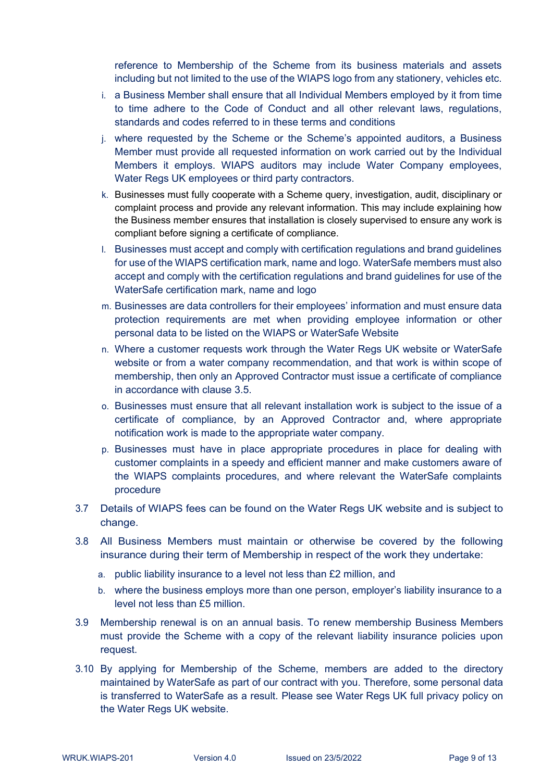reference to Membership of the Scheme from its business materials and assets including but not limited to the use of the WIAPS logo from any stationery, vehicles etc.

- i. a Business Member shall ensure that all Individual Members employed by it from time to time adhere to the Code of Conduct and all other relevant laws, regulations, standards and codes referred to in these terms and conditions
- j. where requested by the Scheme or the Scheme's appointed auditors, a Business Member must provide all requested information on work carried out by the Individual Members it employs. WIAPS auditors may include Water Company employees, Water Regs UK employees or third party contractors.
- k. Businesses must fully cooperate with a Scheme query, investigation, audit, disciplinary or complaint process and provide any relevant information. This may include explaining how the Business member ensures that installation is closely supervised to ensure any work is compliant before signing a certificate of compliance.
- l. Businesses must accept and comply with certification regulations and brand guidelines for use of the WIAPS certification mark, name and logo. WaterSafe members must also accept and comply with the certification regulations and brand guidelines for use of the WaterSafe certification mark, name and logo
- m. Businesses are data controllers for their employees' information and must ensure data protection requirements are met when providing employee information or other personal data to be listed on the WIAPS or WaterSafe Website
- n. Where a customer requests work through the Water Regs UK website or WaterSafe website or from a water company recommendation, and that work is within scope of membership, then only an Approved Contractor must issue a certificate of compliance in accordance with clause 3.5.
- o. Businesses must ensure that all relevant installation work is subject to the issue of a certificate of compliance, by an Approved Contractor and, where appropriate notification work is made to the appropriate water company.
- p. Businesses must have in place appropriate procedures in place for dealing with customer complaints in a speedy and efficient manner and make customers aware of the WIAPS complaints procedures, and where relevant the WaterSafe complaints procedure
- 3.7 Details of WIAPS fees can be found on the Water Regs UK website and is subject to change.
- 3.8 All Business Members must maintain or otherwise be covered by the following insurance during their term of Membership in respect of the work they undertake:
	- a. public liability insurance to a level not less than £2 million, and
	- b. where the business employs more than one person, employer's liability insurance to a level not less than £5 million.
- 3.9 Membership renewal is on an annual basis. To renew membership Business Members must provide the Scheme with a copy of the relevant liability insurance policies upon request.
- 3.10 By applying for Membership of the Scheme, members are added to the directory maintained by WaterSafe as part of our contract with you. Therefore, some personal data is transferred to WaterSafe as a result. Please see Water Regs UK full privacy policy on the Water Regs UK website.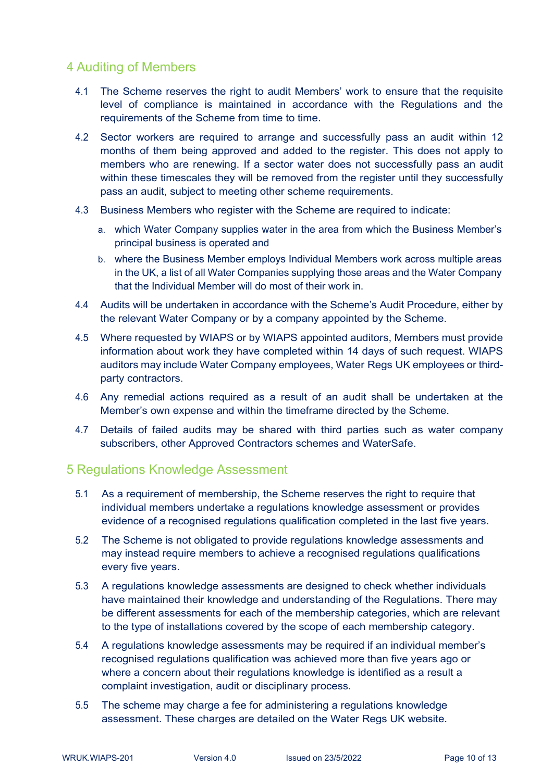## 4 Auditing of Members

- 4.1 The Scheme reserves the right to audit Members' work to ensure that the requisite level of compliance is maintained in accordance with the Regulations and the requirements of the Scheme from time to time.
- 4.2 Sector workers are required to arrange and successfully pass an audit within 12 months of them being approved and added to the register. This does not apply to members who are renewing. If a sector water does not successfully pass an audit within these timescales they will be removed from the register until they successfully pass an audit, subject to meeting other scheme requirements.
- 4.3 Business Members who register with the Scheme are required to indicate:
	- a. which Water Company supplies water in the area from which the Business Member's principal business is operated and
	- b. where the Business Member employs Individual Members work across multiple areas in the UK, a list of all Water Companies supplying those areas and the Water Company that the Individual Member will do most of their work in.
- 4.4 Audits will be undertaken in accordance with the Scheme's Audit Procedure, either by the relevant Water Company or by a company appointed by the Scheme.
- 4.5 Where requested by WIAPS or by WIAPS appointed auditors, Members must provide information about work they have completed within 14 days of such request. WIAPS auditors may include Water Company employees, Water Regs UK employees or thirdparty contractors.
- 4.6 Any remedial actions required as a result of an audit shall be undertaken at the Member's own expense and within the timeframe directed by the Scheme.
- 4.7 Details of failed audits may be shared with third parties such as water company subscribers, other Approved Contractors schemes and WaterSafe.

#### 5 Regulations Knowledge Assessment

- 5.1 As a requirement of membership, the Scheme reserves the right to require that individual members undertake a regulations knowledge assessment or provides evidence of a recognised regulations qualification completed in the last five years.
- 5.2 The Scheme is not obligated to provide regulations knowledge assessments and may instead require members to achieve a recognised regulations qualifications every five years.
- 5.3 A regulations knowledge assessments are designed to check whether individuals have maintained their knowledge and understanding of the Regulations. There may be different assessments for each of the membership categories, which are relevant to the type of installations covered by the scope of each membership category.
- 5.4 A regulations knowledge assessments may be required if an individual member's recognised regulations qualification was achieved more than five years ago or where a concern about their regulations knowledge is identified as a result a complaint investigation, audit or disciplinary process.
- 5.5 The scheme may charge a fee for administering a regulations knowledge assessment. These charges are detailed on the Water Regs UK website.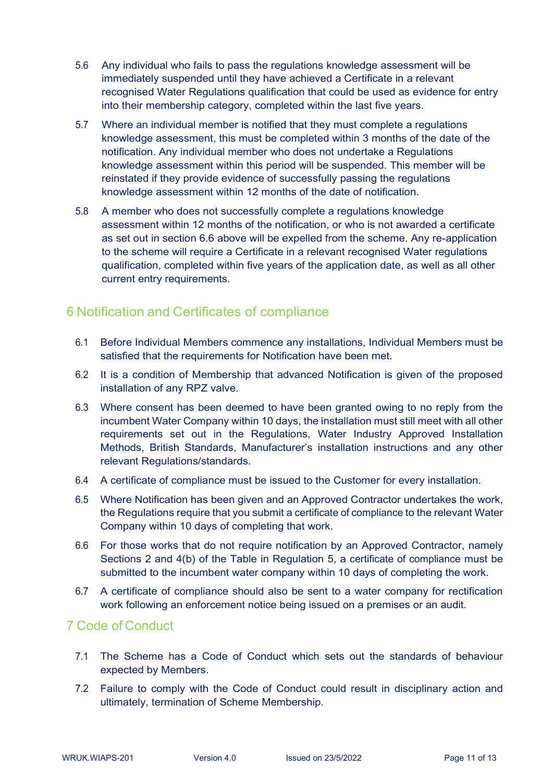- 5.6 Any individual who fails to pass the regulations knowledge assessment will be immediately suspended until they have achieved a Certificate in a relevant recognised Water Regulations qualification that could be used as evidence for entry into their membership category, completed within the last five years.
- 5.7 Where an individual member is notified that they must complete a regulations knowledge assessment, this must be completed within 3 months of the date of the notification. Any individual member who does not undertake a Regulations knowledge assessment within this period will be suspended. This member will be reinstated if they provide evidence of successfully passing the regulations knowledge assessment within 12 months of the date of notification.
- 5.8 A member who does not successfully complete a regulations knowledge assessment within 12 months of the notification, or who is not awarded a certificate as set out in section 6.6 above will be expelled from the scheme. Any re-application to the scheme will require a Certificate in a relevant recognised Water regulations qualification, completed within five years of the application date, as well as all other current entry requirements.

## 6 Notification and Certificates of compliance

- 6.1 Before Individual Members commence any installations, Individual Members must be satisfied that the requirements for Notification have been met.
- 6.2 It is a condition of Membership that advanced Notification is given of the proposed installation of any RPZ valve.
- 6.3 Where consent has been deemed to have been granted owing to no reply from the incumbent Water Company within 10 days, the installation must still meet with all other requirements set out in the Regulations, Water Industry Approved Installation Methods, British Standards, Manufacturer's installation instructions and any other relevant Regulations/standards.
- 6.4 A certificate of compliance must be issued to the Customer for every installation.
- 6.5 Where Notification has been given and an Approved Contractor undertakes the work, the Regulations require that you submit a certificate of compliance to the relevant Water Company within 10 days of completing that work.
- 6.6 For those works that do not require notification by an Approved Contractor, namely Sections 2 and 4(b) of the Table in Regulation 5, a certificate of compliance must be submitted to the incumbent water company within 10 days of completing the work.
- 6.7 A certificate of compliance should also be sent to a water company for rectification work following an enforcement notice being issued on a premises or an audit.

#### 7 Code of Conduct

- 7.1 The Scheme has a Code of Conduct which sets out the standards of behaviour expected by Members.
- 7.2 Failure to comply with the Code of Conduct could result in disciplinary action and ultimately, termination of Scheme Membership.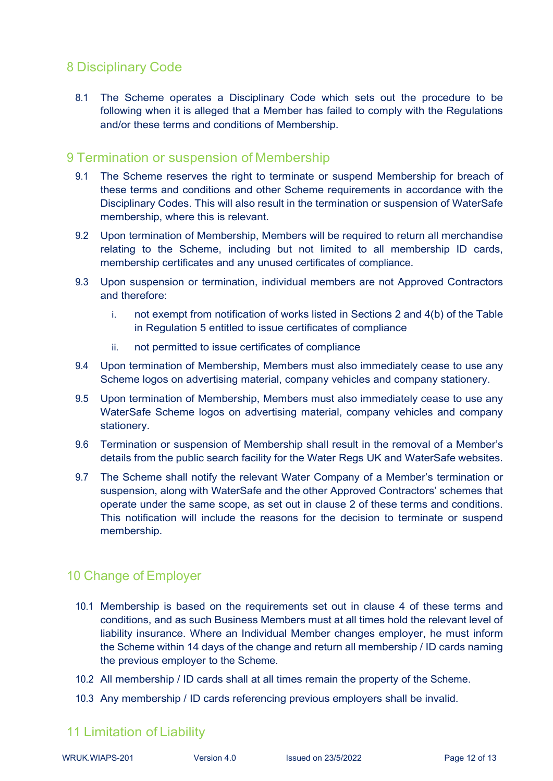# 8 Disciplinary Code

8.1 The Scheme operates a Disciplinary Code which sets out the procedure to be following when it is alleged that a Member has failed to comply with the Regulations and/or these terms and conditions of Membership.

#### 9 Termination or suspension of Membership

- 9.1 The Scheme reserves the right to terminate or suspend Membership for breach of these terms and conditions and other Scheme requirements in accordance with the Disciplinary Codes. This will also result in the termination or suspension of WaterSafe membership, where this is relevant.
- 9.2 Upon termination of Membership, Members will be required to return all merchandise relating to the Scheme, including but not limited to all membership ID cards, membership certificates and any unused certificates of compliance.
- 9.3 Upon suspension or termination, individual members are not Approved Contractors and therefore:
	- i. not exempt from notification of works listed in Sections 2 and 4(b) of the Table in Regulation 5 entitled to issue certificates of compliance
	- ii. not permitted to issue certificates of compliance
- 9.4 Upon termination of Membership, Members must also immediately cease to use any Scheme logos on advertising material, company vehicles and company stationery.
- 9.5 Upon termination of Membership, Members must also immediately cease to use any WaterSafe Scheme logos on advertising material, company vehicles and company stationery.
- 9.6 Termination or suspension of Membership shall result in the removal of a Member's details from the public search facility for the Water Regs UK and WaterSafe websites.
- 9.7 The Scheme shall notify the relevant Water Company of a Member's termination or suspension, along with WaterSafe and the other Approved Contractors' schemes that operate under the same scope, as set out in clause 2 of these terms and conditions. This notification will include the reasons for the decision to terminate or suspend membership.

# 10 Change of Employer

- 10.1 Membership is based on the requirements set out in clause 4 of these terms and conditions, and as such Business Members must at all times hold the relevant level of liability insurance. Where an Individual Member changes employer, he must inform the Scheme within 14 days of the change and return all membership / ID cards naming the previous employer to the Scheme.
- 10.2 All membership / ID cards shall at all times remain the property of the Scheme.
- 10.3 Any membership / ID cards referencing previous employers shall be invalid.

# 11 Limitation of Liability